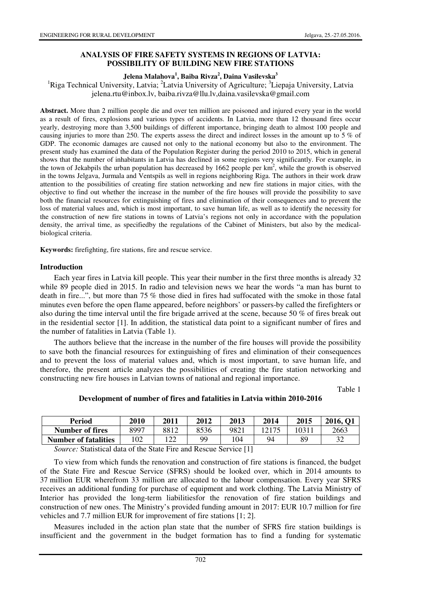# **ANALYSIS OF FIRE SAFETY SYSTEMS IN REGIONS OF LATVIA: POSSIBILITY OF BUILDING NEW FIRE STATIONS**

## **Jelena Malahova<sup>1</sup> , Baiba Rivza<sup>2</sup> , Daina Vasilevska<sup>3</sup>**

<sup>1</sup>Riga Technical University, Latvia; <sup>2</sup>Latvia University of Agriculture; <sup>3</sup>Liepaja University, Latvia jelena.rtu@inbox.lv, baiba.rivza@llu.lv,daina.vasilevska@gmail.com

**Abstract.** More than 2 million people die and over ten million are poisoned and injured every year in the world as a result of fires, explosions and various types of accidents. In Latvia, more than 12 thousand fires occur yearly, destroying more than 3,500 buildings of different importance, bringing death to almost 100 people and causing injuries to more than 250. The experts assess the direct and indirect losses in the amount up to 5 % of GDP. The economic damages are caused not only to the national economy but also to the environment. The present study has examined the data of the Population Register during the period 2010 to 2015, which in general shows that the number of inhabitants in Latvia has declined in some regions very significantly. For example, in the town of Jekabpils the urban population has decreased by 1662 people per  $km^2$ , while the growth is observed in the towns Jelgava, Jurmala and Ventspils as well in regions neighboring Riga. The authors in their work draw attention to the possibilities of creating fire station networking and new fire stations in major cities, with the objective to find out whether the increase in the number of the fire houses will provide the possibility to save both the financial resources for extinguishing of fires and elimination of their consequences and to prevent the loss of material values and, which is most important, to save human life, as well as to identify the necessity for the construction of new fire stations in towns of Latvia's regions not only in accordance with the population density, the arrival time, as specifiedby the regulations of the Cabinet of Ministers, but also by the medicalbiological criteria.

**Keywords:** firefighting, fire stations, fire and rescue service.

### **Introduction**

Each year fires in Latvia kill people. This year their number in the first three months is already 32 while 89 people died in 2015. In radio and television news we hear the words "a man has burnt to death in fire...", but more than 75 % those died in fires had suffocated with the smoke in those fatal minutes even before the open flame appeared, before neighbors' or passers-by called the firefighters or also during the time interval until the fire brigade arrived at the scene, because 50 % of fires break out in the residential sector [1]. In addition, the statistical data point to a significant number of fires and the number of fatalities in Latvia (Table 1).

The authors believe that the increase in the number of the fire houses will provide the possibility to save both the financial resources for extinguishing of fires and elimination of their consequences and to prevent the loss of material values and, which is most important, to save human life, and therefore, the present article analyzes the possibilities of creating the fire station networking and constructing new fire houses in Latvian towns of national and regional importance.

Table 1

# **Development of number of fires and fatalities in Latvia within 2010-2016**

| Period                      | 2010 | 2011 | 2012 | 2013            | 2014  | 2015  | <b>2016, O1</b> |
|-----------------------------|------|------|------|-----------------|-------|-------|-----------------|
| <b>Number of fires</b>      | 8997 | 8812 | 8536 | 9821            | 12175 | 10311 | 2663            |
| <b>Number of fatalities</b> | 102  | 122  | 99   | $\overline{04}$ | 94    | 89    | 32              |
|                             |      |      |      |                 |       |       |                 |

*Source:* Statistical data of the State Fire and Rescue Service [1]

To view from which funds the renovation and construction of fire stations is financed, the budget of the State Fire and Rescue Service (SFRS) should be looked over, which in 2014 amounts to 37 million EUR wherefrom 33 million are allocated to the labour compensation. Every year SFRS receives an additional funding for purchase of equipment and work clothing. The Latvia Ministry of Interior has provided the long-term liabilitiesfor the renovation of fire station buildings and construction of new ones. The Ministry's provided funding amount in 2017: EUR 10.7 million for fire vehicles and 7.7 million EUR for improvement of fire stations [1; 2].

Measures included in the action plan state that the number of SFRS fire station buildings is insufficient and the government in the budget formation has to find a funding for systematic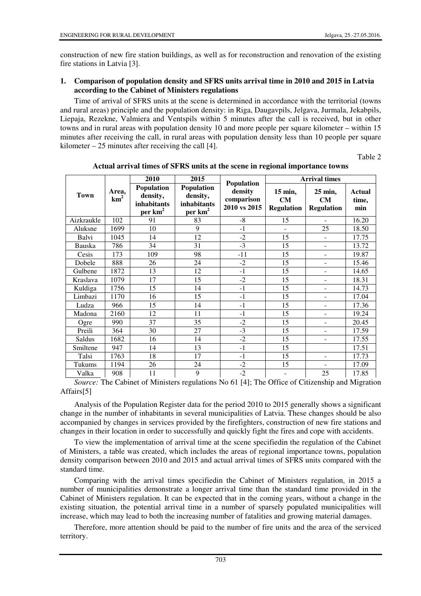construction of new fire station buildings, as well as for reconstruction and renovation of the existing fire stations in Latvia [3].

## **1. Comparison of population density and SFRS units arrival time in 2010 and 2015 in Latvia according to the Cabinet of Ministers regulations**

Time of arrival of SFRS units at the scene is determined in accordance with the territorial (towns and rural areas) principle and the population density: in Riga, Daugavpils, Jelgava, Jurmala, Jekabpils, Liepaja, Rezekne, Valmiera and Ventspils within 5 minutes after the call is received, but in other towns and in rural areas with population density 10 and more people per square kilometer – within 15 minutes after receiving the call, in rural areas with population density less than 10 people per square kilometer  $-25$  minutes after receiving the call [4].

Table 2

|             |                          | 2010                                                       | 2015                                                         |                                                     | <b>Arrival times</b>               |                                           |                        |  |
|-------------|--------------------------|------------------------------------------------------------|--------------------------------------------------------------|-----------------------------------------------------|------------------------------------|-------------------------------------------|------------------------|--|
| <b>Town</b> | Area,<br>km <sup>2</sup> | <b>Population</b><br>density,<br>inhabitants<br>per $km^2$ | Population<br>density,<br>inhabitants<br>per km <sup>2</sup> | Population<br>density<br>comparison<br>2010 vs 2015 | 15 min,<br>CM<br><b>Regulation</b> | 25 min,<br><b>CM</b><br><b>Regulation</b> | Actual<br>time,<br>min |  |
| Aizkraukle  | 102                      | 91                                                         | 83                                                           | $-8$                                                | 15                                 |                                           | 16.20                  |  |
| Aluksne     | 1699                     | 10                                                         | 9                                                            | $-1$                                                | $\overline{\phantom{a}}$           | 25                                        | 18.50                  |  |
| Balvi       | 1045                     | 14                                                         | 12                                                           | $-2$                                                | 15                                 | $\overline{\phantom{a}}$                  | 17.75                  |  |
| Bauska      | 786                      | 34                                                         | 31                                                           | $-3$                                                | 15                                 | $\overline{\phantom{a}}$                  | 13.72                  |  |
| Cesis       | 173                      | 109                                                        | 98                                                           | $-11$                                               | 15                                 | $\overline{a}$                            | 19.87                  |  |
| Dobele      | 888                      | 26                                                         | 24                                                           | $-2$                                                | 15                                 | ÷                                         | 15.46                  |  |
| Gulbene     | 1872                     | 13                                                         | 12                                                           | $-1$                                                | 15                                 | $\overline{\phantom{0}}$                  | 14.65                  |  |
| Kraslava    | 1079                     | 17                                                         | 15                                                           | $-2$                                                | 15                                 | ۰                                         | 18.31                  |  |
| Kuldiga     | 1756                     | 15                                                         | 14                                                           | $-1$                                                | 15                                 | ÷                                         | 14.73                  |  |
| Limbazi     | 1170                     | 16                                                         | 15                                                           | $-1$                                                | 15                                 | $\overline{\phantom{a}}$                  | 17.04                  |  |
| Ludza       | 966                      | 15                                                         | 14                                                           | $-1$                                                | 15                                 | $\overline{\phantom{a}}$                  | 17.36                  |  |
| Madona      | 2160                     | 12                                                         | 11                                                           | $-1$                                                | 15                                 | $\overline{a}$                            | 19.24                  |  |
| Ogre        | 990                      | 37                                                         | 35                                                           | $-2$                                                | 15                                 | $\overline{\phantom{a}}$                  | 20.45                  |  |
| Preili      | 364                      | 30                                                         | 27                                                           | $-3$                                                | 15                                 | $\overline{a}$                            | 17.59                  |  |
| Saldus      | 1682                     | 16                                                         | 14                                                           | $-2$                                                | 15                                 |                                           | 17.55                  |  |
| Smiltene    | 947                      | 14                                                         | 13                                                           | $-1$                                                | 15                                 |                                           | 17.51                  |  |
| Talsi       | 1763                     | 18                                                         | 17                                                           | $-1$                                                | 15                                 | $\overline{\phantom{0}}$                  | 17.73                  |  |
| Tukums      | 1194                     | 26                                                         | 24                                                           | $-2$                                                | 15                                 | $\blacksquare$                            | 17.09                  |  |
| Valka       | 908                      | 11                                                         | 9                                                            | $-2$                                                | $\overline{\phantom{a}}$           | 25                                        | 17.85                  |  |

|  |  |  | Actual arrival times of SFRS units at the scene in regional importance towns |  |
|--|--|--|------------------------------------------------------------------------------|--|
|--|--|--|------------------------------------------------------------------------------|--|

*Source:* The Cabinet of Ministers regulations No 61 [4]; The Office of Citizenship and Migration Affairs[5]

Analysis of the Population Register data for the period 2010 to 2015 generally shows a significant change in the number of inhabitants in several municipalities of Latvia. These changes should be also accompanied by changes in services provided by the firefighters, construction of new fire stations and changes in their location in order to successfully and quickly fight the fires and cope with accidents.

To view the implementation of arrival time at the scene specifiedin the regulation of the Cabinet of Ministers, a table was created, which includes the areas of regional importance towns, population density comparison between 2010 and 2015 and actual arrival times of SFRS units compared with the standard time.

Comparing with the arrival times specifiedin the Cabinet of Ministers regulation, in 2015 a number of municipalities demonstrate a longer arrival time than the standard time provided in the Cabinet of Ministers regulation. It can be expected that in the coming years, without a change in the existing situation, the potential arrival time in a number of sparsely populated municipalities will increase, which may lead to both the increasing number of fatalities and growing material damages.

Therefore, more attention should be paid to the number of fire units and the area of the serviced territory.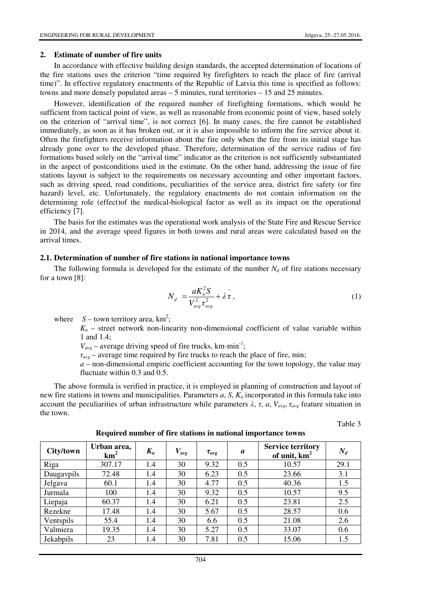### **2. Estimate of number of fire units**

In accordance with effective building design standards, the accepted determination of locations of the fire stations uses the criterion "time required by firefighters to reach the place of fire (arrival time)". In effective regulatory enactments of the Republic of Latvia this time is specified as follows: towns and more densely populated areas – 5 minutes, rural territories – 15 and 25 minutes.

However, identification of the required number of firefighting formations, which would be sufficient from tactical point of view, as well as reasonable from economic point of view, based solely on the criterion of "arrival time", is not correct [6]. In many cases, the fire cannot be established immediately, as soon as it has broken out, or it is also impossible to inform the fire service about it. Often the firefighters receive information about the fire only when the fire from its initial stage has already gone over to the developed phase. Therefore, determination of the service radius of fire formations based solely on the "arrival time" indicator as the criterion is not sufficiently substantiated in the aspect of postconditions used in the estimate. On the other hand, addressing the issue of fire stations layout is subject to the requirements on necessary accounting and other important factors, such as driving speed, road conditions, peculiarities of the service area, district fire safety (or fire hazard) level, etc. Unfortunately, the regulatory enactments do not contain information on the determining role (effect)of the medical-biological factor as well as its impact on the operational efficiency [7].

The basis for the estimates was the operational work analysis of the State Fire and Rescue Service in 2014, and the average speed figures in both towns and rural areas were calculated based on the arrival times.

#### **2.1. Determination of number of fire stations in national importance towns**

The following formula is developed for the estimate of the number  $N_d$  of fire stations necessary for a town [8]:

$$
N_d = \frac{aK_n^2 S}{V_{avg}^2 \tau_{avg}^2} + \lambda \bar{\tau},
$$
\n(1)

where  $S$  – town territory area,  $km^2$ ;

 $K_n$  – street network non-linearity non-dimensional coefficient of value variable within 1 and 1.4;

 $V_{\text{ave}}$  – average driving speed of fire trucks, km·min<sup>-1</sup>;

 $\tau_{ave}$  – average time required by fire trucks to reach the place of fire, min;

 $a$  – non-dimensional empiric coefficient accounting for the town topology, the value may fluctuate within 0.3 and 0.5.

The above formula is verified in practice, it is employed in planning of construction and layout of new fire stations in towns and municipalities. Parameters *a*, *S*, *Kn* incorporated in this formula take into account the peculiarities of urban infrastructure while parameters  $\lambda$ ,  $\tau$ ,  $a$ ,  $V_{avg}$ ,  $\tau_{avg}$  feature situation in the town.

Table 3

| City/town  | Urban area,<br>km <sup>2</sup> | $K_n$ | $V_{avg}$ | $\tau_{avg}$ | a   | <b>Service territory</b><br>of unit, $km2$ | $N_d$ |
|------------|--------------------------------|-------|-----------|--------------|-----|--------------------------------------------|-------|
| Riga       | 307.17                         | 1.4   | 30        | 9.32         | 0.5 | 10.57                                      | 29.1  |
| Daugavpils | 72.48                          | 1.4   | 30        | 6.23         | 0.5 | 23.66                                      | 3.1   |
| Jelgava    | 60.1                           | 1.4   | 30        | 4.77         | 0.5 | 40.36                                      | 1.5   |
| Jurmala    | 100                            | 1.4   | 30        | 9.32         | 0.5 | 10.57                                      | 9.5   |
| Liepaja    | 60.37                          | 1.4   | 30        | 6.21         | 0.5 | 23.81                                      | 2.5   |
| Rezekne    | 17.48                          | 1.4   | 30        | 5.67         | 0.5 | 28.57                                      | 0.6   |
| Ventspils  | 55.4                           | 1.4   | 30        | 6.6          | 0.5 | 21.08                                      | 2.6   |
| Valmiera   | 19.35                          | 1.4   | 30        | 5.27         | 0.5 | 33.07                                      | 0.6   |
| Jekabpils  | 23                             | 1.4   | 30        | 7.81         | 0.5 | 15.06                                      | 1.5   |

**Required number of fire stations in national importance towns**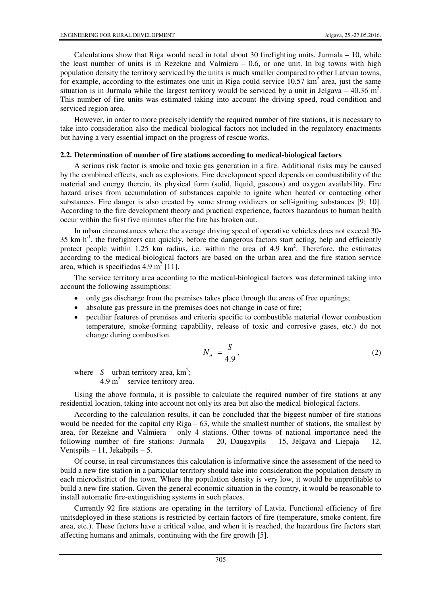Calculations show that Riga would need in total about 30 firefighting units, Jurmala – 10, while the least number of units is in Rezekne and Valmiera – 0.6, or one unit. In big towns with high population density the territory serviced by the units is much smaller compared to other Latvian towns, for example, according to the estimates one unit in Riga could service  $10.57 \text{ km}^2$  area, just the same situation is in Jurmala while the largest territory would be serviced by a unit in Jelgava – 40.36 m<sup>2</sup>. This number of fire units was estimated taking into account the driving speed, road condition and serviced region area.

However, in order to more precisely identify the required number of fire stations, it is necessary to take into consideration also the medical-biological factors not included in the regulatory enactments but having a very essential impact on the progress of rescue works.

#### **2.2. Determination of number of fire stations according to medical-biological factors**

A serious risk factor is smoke and toxic gas generation in a fire. Additional risks may be caused by the combined effects, such as explosions. Fire development speed depends on combustibility of the material and energy therein, its physical form (solid, liquid, gaseous) and oxygen availability. Fire hazard arises from accumulation of substances capable to ignite when heated or contacting other substances. Fire danger is also created by some strong oxidizers or self-igniting substances [9; 10]. According to the fire development theory and practical experience, factors hazardous to human health occur within the first five minutes after the fire has broken out.

In urban circumstances where the average driving speed of operative vehicles does not exceed 30-  $35 \text{ km} \cdot \text{h}^{-1}$ , the firefighters can quickly, before the dangerous factors start acting, help and efficiently protect people within 1.25 km radius, i.e. within the area of 4.9  $\text{km}^2$ . Therefore, the estimates according to the medical-biological factors are based on the urban area and the fire station service area, which is specifiedas  $4.9 \text{ m}^2$  [11].

The service territory area according to the medical-biological factors was determined taking into account the following assumptions:

- only gas discharge from the premises takes place through the areas of free openings;
- absolute gas pressure in the premises does not change in case of fire;
- peculiar features of premises and criteria specific to combustible material (lower combustion temperature, smoke-forming capability, release of toxic and corrosive gases, etc.) do not change during combustion.

$$
N_d = \frac{S}{4.9},\tag{2}
$$

where  $S$  – urban territory area,  $km^2$ ;  $4.9 \text{ m}^2$  – service territory area.

Using the above formula, it is possible to calculate the required number of fire stations at any residential location, taking into account not only its area but also the medical-biological factors.

According to the calculation results, it can be concluded that the biggest number of fire stations would be needed for the capital city Riga – 63, while the smallest number of stations, the smallest by area, for Rezekne and Valmiera – only 4 stations. Other towns of national importance need the following number of fire stations: Jurmala  $-20$ , Daugavpils  $-15$ , Jelgava and Liepaja  $-12$ , Ventspils – 11, Jekabpils – 5.

Of course, in real circumstances this calculation is informative since the assessment of the need to build a new fire station in a particular territory should take into consideration the population density in each microdistrict of the town. Where the population density is very low, it would be unprofitable to build a new fire station. Given the general economic situation in the country, it would be reasonable to install automatic fire-extinguishing systems in such places.

Currently 92 fire stations are operating in the territory of Latvia. Functional efficiency of fire unitsdeployed in these stations is restricted by certain factors of fire (temperature, smoke content, fire area, etc.). These factors have a critical value, and when it is reached, the hazardous fire factors start affecting humans and animals, continuing with the fire growth [5].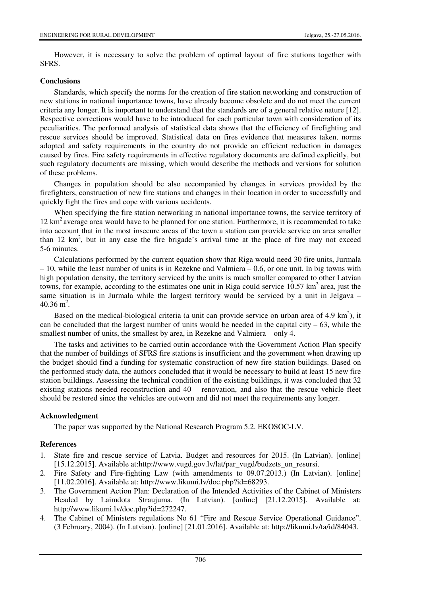However, it is necessary to solve the problem of optimal layout of fire stations together with SFRS.

## **Conclusions**

Standards, which specify the norms for the creation of fire station networking and construction of new stations in national importance towns, have already become obsolete and do not meet the current criteria any longer. It is important to understand that the standards are of a general relative nature [12]. Respective corrections would have to be introduced for each particular town with consideration of its peculiarities. The performed analysis of statistical data shows that the efficiency of firefighting and rescue services should be improved. Statistical data on fires evidence that measures taken, norms adopted and safety requirements in the country do not provide an efficient reduction in damages caused by fires. Fire safety requirements in effective regulatory documents are defined explicitly, but such regulatory documents are missing, which would describe the methods and versions for solution of these problems.

Changes in population should be also accompanied by changes in services provided by the firefighters, construction of new fire stations and changes in their location in order to successfully and quickly fight the fires and cope with various accidents.

When specifying the fire station networking in national importance towns, the service territory of 12 km<sup>2</sup>average area would have to be planned for one station. Furthermore, it is recommended to take into account that in the most insecure areas of the town a station can provide service on area smaller than 12  $\text{km}^2$ , but in any case the fire brigade's arrival time at the place of fire may not exceed 5-6 minutes.

Calculations performed by the current equation show that Riga would need 30 fire units, Jurmala – 10, while the least number of units is in Rezekne and Valmiera – 0.6, or one unit. In big towns with high population density, the territory serviced by the units is much smaller compared to other Latvian towns, for example, according to the estimates one unit in Riga could service  $10.57 \text{ km}^2$  area, just the same situation is in Jurmala while the largest territory would be serviced by a unit in Jelgava –  $40.36 \text{ m}^2$ .

Based on the medical-biological criteria (a unit can provide service on urban area of 4.9 km<sup>2</sup>), it can be concluded that the largest number of units would be needed in the capital city  $-63$ , while the smallest number of units, the smallest by area, in Rezekne and Valmiera – only 4.

The tasks and activities to be carried outin accordance with the Government Action Plan specify that the number of buildings of SFRS fire stations is insufficient and the government when drawing up the budget should find a funding for systematic construction of new fire station buildings. Based on the performed study data, the authors concluded that it would be necessary to build at least 15 new fire station buildings. Assessing the technical condition of the existing buildings, it was concluded that 32 existing stations needed reconstruction and 40 – renovation, and also that the rescue vehicle fleet should be restored since the vehicles are outworn and did not meet the requirements any longer.

## **Acknowledgment**

The paper was supported by the National Research Program 5.2. EKOSOC-LV.

# **References**

- 1. State fire and rescue service of Latvia. Budget and resources for 2015. (In Latvian). [online] [15.12.2015]. Available at:http://www.vugd.gov.lv/lat/par\_vugd/budzets\_un\_resursi.
- 2. Fire Safety and Fire-fighting Law (with amendments to 09.07.2013.) (In Latvian). [online] [11.02.2016]. Available at: http://www.likumi.lv/doc.php?id=68293.
- 3. The Government Action Plan: Declaration of the Intended Activities of the Cabinet of Ministers Headed by Laimdota Straujuma. (In Latvian). [online] [21.12.2015]. Available at: http://www.likumi.lv/doc.php?id=272247.
- 4. The Cabinet of Ministers regulations No 61 "Fire and Rescue Service Operational Guidance". (3 February, 2004). (In Latvian). [online] [21.01.2016]. Available at: http://likumi.lv/ta/id/84043.